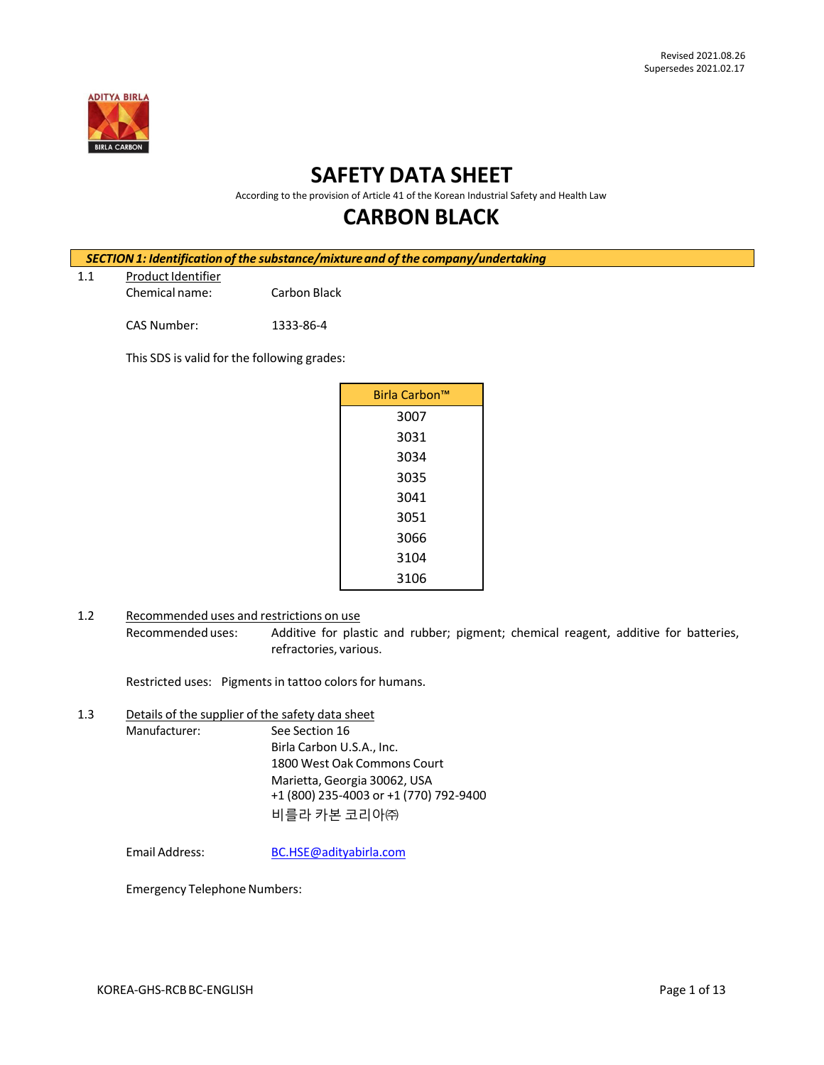

# **SAFETY DATA SHEET**

According to the provision of Article 41 of the Korean Industrial Safety and Health Law

## **CARBON BLACK**

| SECTION 1: Identification of the substance/mixture and of the company/undertaking |                                             |              |               |  |  |
|-----------------------------------------------------------------------------------|---------------------------------------------|--------------|---------------|--|--|
| 1.1                                                                               | Product Identifier                          |              |               |  |  |
|                                                                                   | Chemical name:                              | Carbon Black |               |  |  |
|                                                                                   | CAS Number:                                 | 1333-86-4    |               |  |  |
|                                                                                   | This SDS is valid for the following grades: |              |               |  |  |
|                                                                                   |                                             |              | Birla Carbon™ |  |  |
|                                                                                   |                                             |              | 3007          |  |  |

- 1.2 Recommended uses and restrictions on use
	- Recommended uses: Additive for plastic and rubber; pigment; chemical reagent, additive for batteries, refractories, various.

Restricted uses: Pigments in tattoo colors for humans.

1.3 Details of the supplier of the safety data sheet Manufacturer: See Section 16 Birla Carbon U.S.A., Inc. 1800 West Oak Commons Court Marietta, Georgia 30062, USA +1 (800) 235-4003 or +1 (770) 792-9400 비를라 카본 코리아㈜

Email Address: [BC.HSE@adityabirla.com](mailto:BC.HSE@adityabirla.com)

Emergency Telephone Numbers: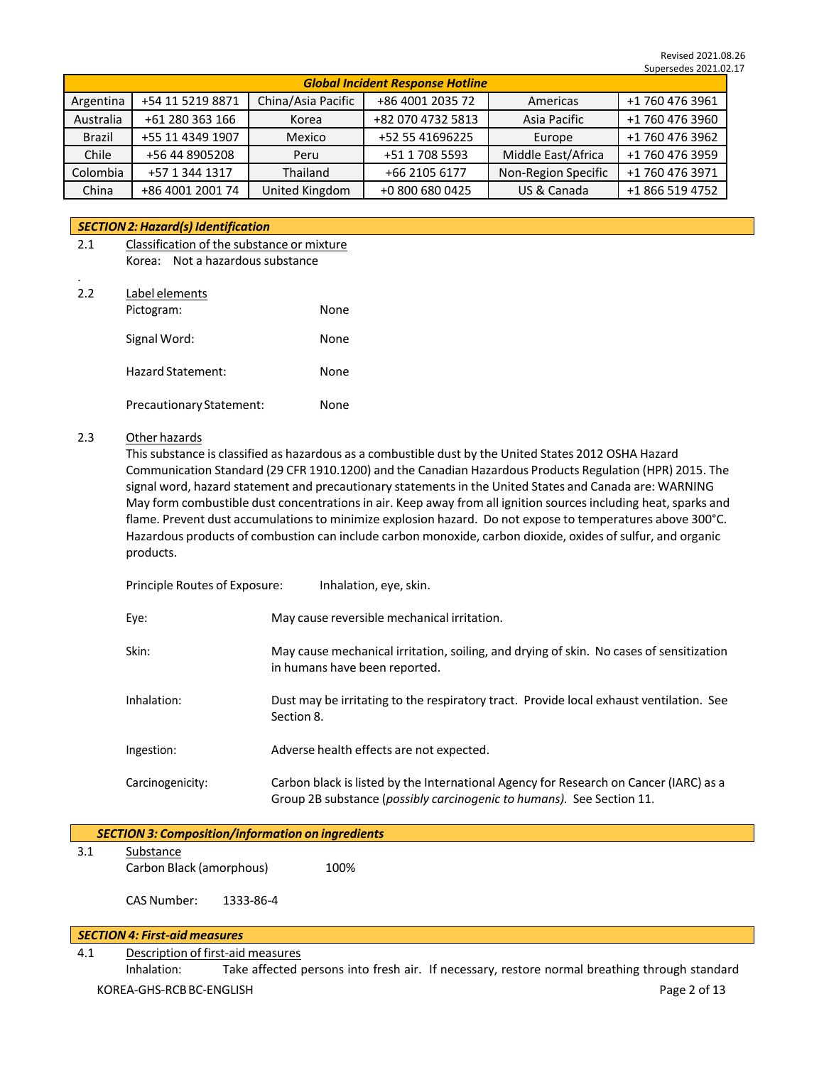|           | <b>Global Incident Response Hotline</b> |                    |                   |                     |                 |  |  |
|-----------|-----------------------------------------|--------------------|-------------------|---------------------|-----------------|--|--|
| Argentina | +54 11 5219 8871                        | China/Asia Pacific | +86 4001 2035 72  | Americas            | +1 760 476 3961 |  |  |
| Australia | +61 280 363 166                         | Korea              | +82 070 4732 5813 | Asia Pacific        | +1 760 476 3960 |  |  |
| Brazil    | +55 11 4349 1907                        | Mexico             | +52 55 41696225   | Europe              | +1 760 476 3962 |  |  |
| Chile     | +56 44 8905208                          | Peru               | +51 1 708 5593    | Middle East/Africa  | +1 760 476 3959 |  |  |
| Colombia  | +57 1 344 1317                          | Thailand           | +66 2105 6177     | Non-Region Specific | +1 760 476 3971 |  |  |
| China     | +86 4001 2001 74                        | United Kingdom     | +0 800 680 0425   | US & Canada         | +1 866 519 4752 |  |  |

#### *SECTION2:Hazard(s) Identification*

- 2.1 Classification of the substance or mixture Korea: Not a hazardous substance
- 2.2 Label elements

.

| Pictogram:               | None |
|--------------------------|------|
| Signal Word:             | None |
| Hazard Statement:        | None |
| Precautionary Statement: | None |

## 2.3 Other hazards

This substance is classified as hazardous as a combustible dust by the United States 2012 OSHA Hazard Communication Standard (29 CFR 1910.1200) and the Canadian Hazardous Products Regulation (HPR) 2015. The signal word, hazard statement and precautionary statementsin the United States and Canada are: WARNING May form combustible dust concentrations in air. Keep away from all ignition sources including heat, sparks and flame. Prevent dust accumulations to minimize explosion hazard. Do not expose to temperatures above 300°C. Hazardous products of combustion can include carbon monoxide, carbon dioxide, oxides of sulfur, and organic products.

| Principle Routes of Exposure: | Inhalation, eye, skin.                                                                                                                                         |
|-------------------------------|----------------------------------------------------------------------------------------------------------------------------------------------------------------|
| Eye:                          | May cause reversible mechanical irritation.                                                                                                                    |
| Skin:                         | May cause mechanical irritation, soiling, and drying of skin. No cases of sensitization<br>in humans have been reported.                                       |
| Inhalation:                   | Dust may be irritating to the respiratory tract. Provide local exhaust ventilation. See<br>Section 8.                                                          |
| Ingestion:                    | Adverse health effects are not expected.                                                                                                                       |
| Carcinogenicity:              | Carbon black is listed by the International Agency for Research on Cancer (IARC) as a<br>Group 2B substance (possibly carcinogenic to humans). See Section 11. |

|     | <b>SECTION 3: Composition/information on ingredients</b> |      |  |  |  |  |
|-----|----------------------------------------------------------|------|--|--|--|--|
| 3.1 | Substance<br>Carbon Black (amorphous)                    | 100% |  |  |  |  |
|     | CAS Number:<br>1333-86-4                                 |      |  |  |  |  |

#### *SECTION 4: First-aid measures*

4.1 Description of first-aid measures

KOREA-GHS-RCB BC-ENGLISH Page 2 of 13 Inhalation: Take affected persons into fresh air. If necessary, restore normal breathing through standard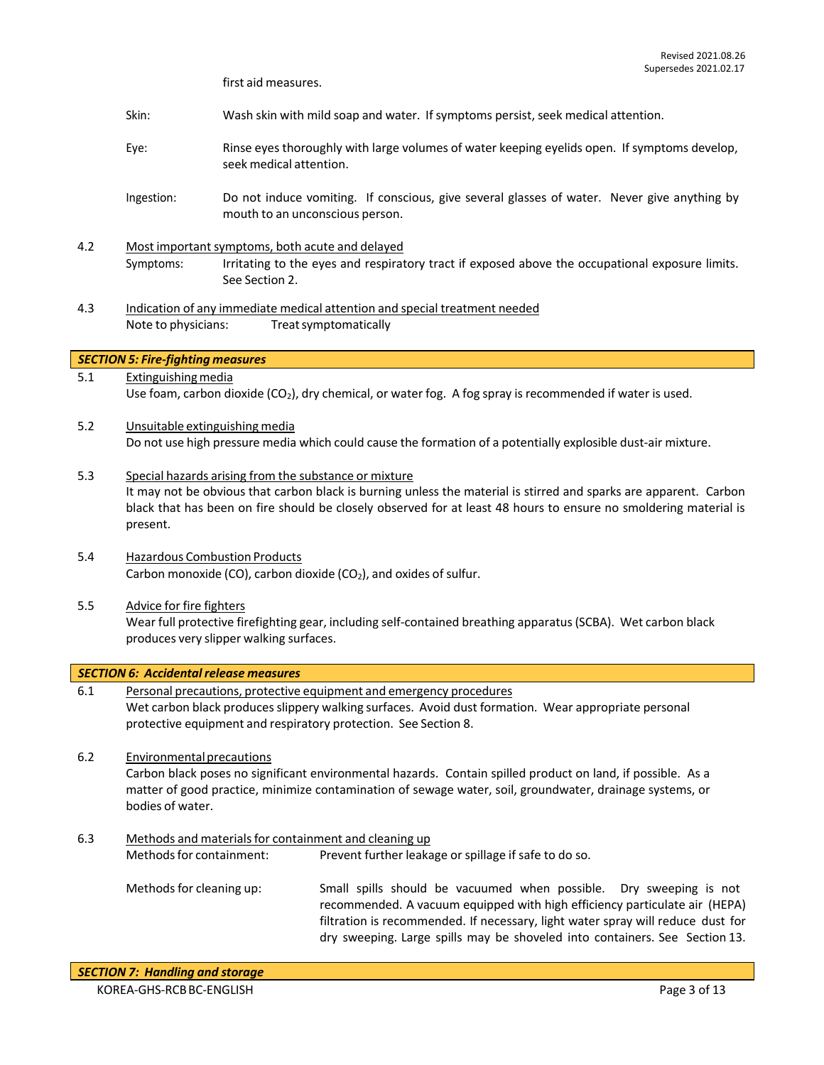first aid measures.

- Skin: Wash skin with mild soap and water. If symptoms persist, seek medical attention.
- Eye: Rinse eyes thoroughly with large volumes of water keeping eyelids open. If symptoms develop, seek medical attention.
- Ingestion: Do not induce vomiting. If conscious, give several glasses of water. Never give anything by mouth to an unconscious person.
- 4.2 Most important symptoms, both acute and delayed Symptoms: Irritating to the eyes and respiratory tract if exposed above the occupational exposure limits. See Section 2.
- 4.3 Indication of any immediate medical attention and special treatment needed Note to physicians: Treatsymptomatically

*SECTION 5: Fire-fighting measures*

- 5.1 Extinguishing media Use foam, carbon dioxide (CO<sub>2</sub>), dry chemical, or water fog. A fog spray is recommended if water is used.
- 5.2 Unsuitable extinguishing media Do not use high pressure media which could cause the formation of a potentially explosible dust-air mixture.
- 5.3 Special hazards arising from the substance or mixture It may not be obvious that carbon black is burning unless the material is stirred and sparks are apparent. Carbon black that has been on fire should be closely observed for at least 48 hours to ensure no smoldering material is present.
- 5.4 Hazardous Combustion Products Carbon monoxide (CO), carbon dioxide (CO<sub>2</sub>), and oxides of sulfur.
- 5.5 Advice for fire fighters Wear full protective firefighting gear, including self-contained breathing apparatus(SCBA). Wet carbon black produces very slipper walking surfaces.

*SECTION 6: Accidental release measures*

- 6.1 Personal precautions, protective equipment and emergency procedures Wet carbon black produces slippery walking surfaces. Avoid dust formation. Wear appropriate personal protective equipment and respiratory protection. See Section 8.
- 6.2 Environmentalprecautions Carbon black poses no significant environmental hazards. Contain spilled product on land, if possible. As a matter of good practice, minimize contamination of sewage water, soil, groundwater, drainage systems, or bodies of water.
- 6.3 Methods and materialsfor containment and cleaning up Methods for containment: Prevent further leakage or spillage if safe to do so. Methodsfor cleaning up: Small spills should be vacuumed when possible. Dry sweeping is not recommended. A vacuum equipped with high efficiency particulate air (HEPA) filtration is recommended. If necessary, light water spray will reduce dust for dry sweeping. Large spills may be shoveled into containers. See Section 13.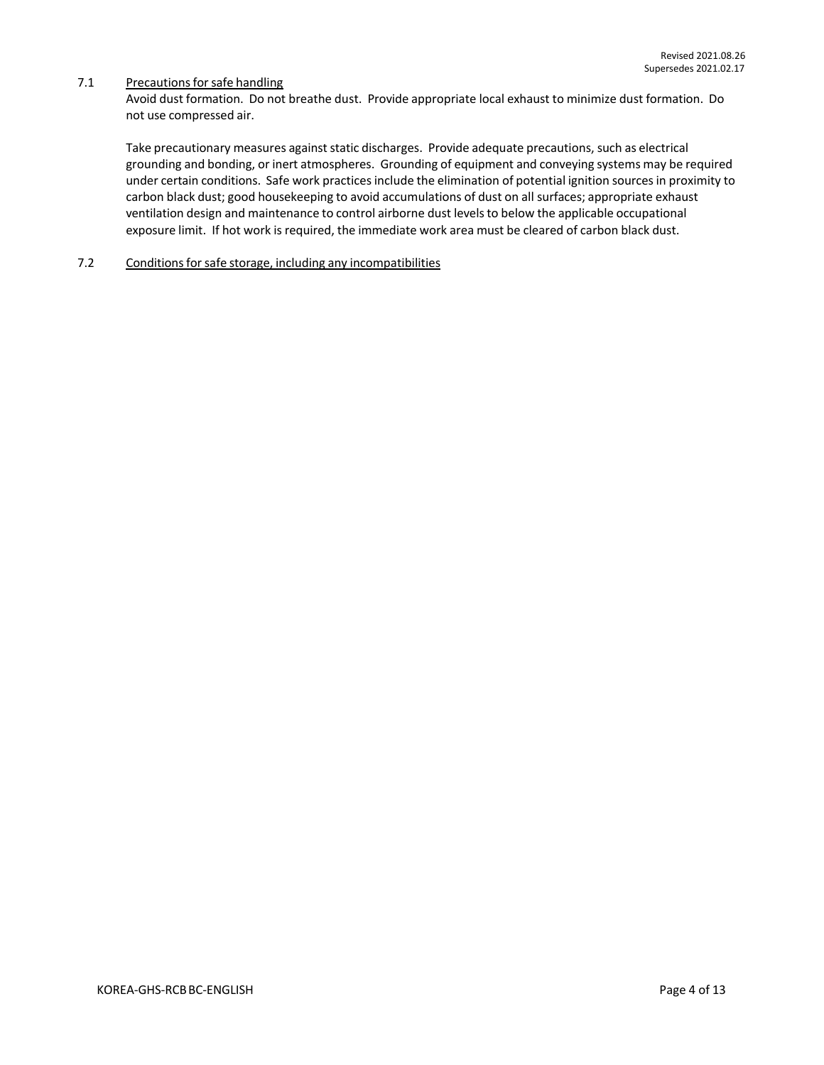### 7.1 Precautions for safe handling

Avoid dust formation. Do not breathe dust. Provide appropriate local exhaust to minimize dust formation. Do not use compressed air.

Take precautionary measures against static discharges. Provide adequate precautions, such as electrical grounding and bonding, or inert atmospheres. Grounding of equipment and conveying systems may be required under certain conditions. Safe work practices include the elimination of potential ignition sources in proximity to carbon black dust; good housekeeping to avoid accumulations of dust on all surfaces; appropriate exhaust ventilation design and maintenance to control airborne dust levelsto below the applicable occupational exposure limit. If hot work is required, the immediate work area must be cleared of carbon black dust.

## 7.2 Conditions for safe storage, including any incompatibilities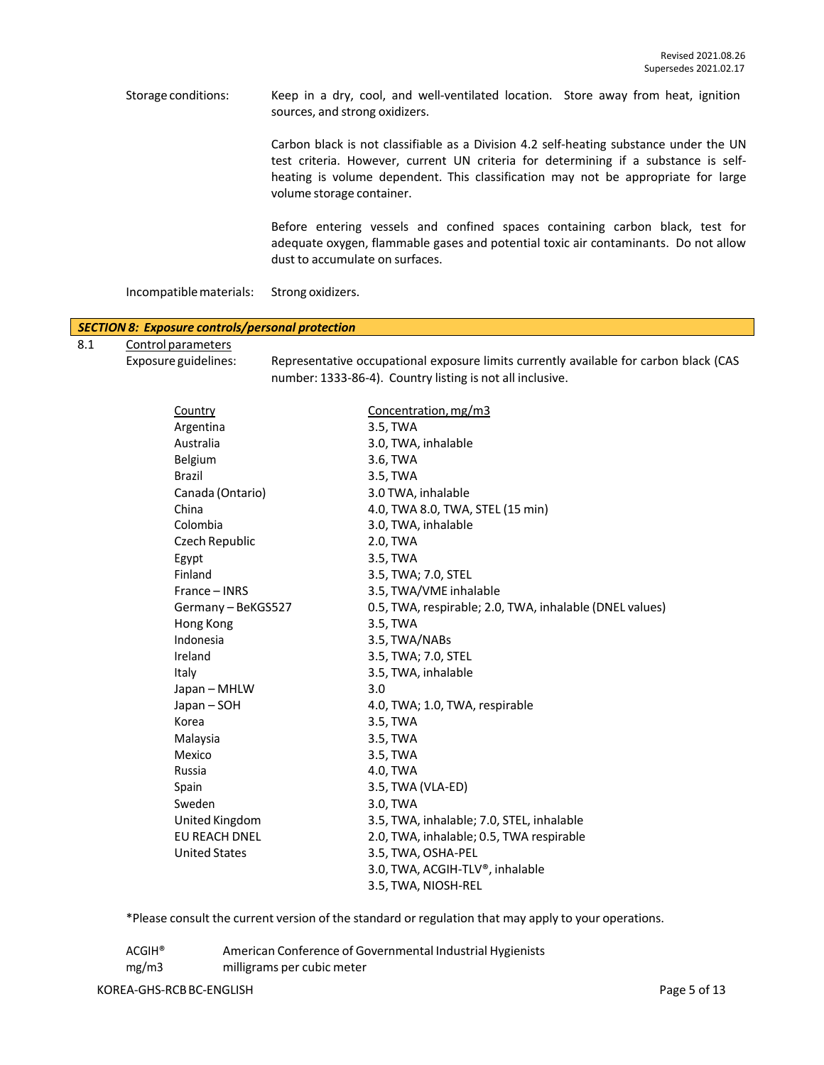Storage conditions: Keep in a dry, cool, and well-ventilated location. Store away from heat, ignition sources, and strong oxidizers.

> Carbon black is not classifiable as a Division 4.2 self-heating substance under the UN test criteria. However, current UN criteria for determining if a substance is selfheating is volume dependent. This classification may not be appropriate for large volume storage container.

> Before entering vessels and confined spaces containing carbon black, test for adequate oxygen, flammable gases and potential toxic air contaminants. Do not allow dust to accumulate on surfaces.

Incompatiblematerials: Strong oxidizers.

#### *SECTION 8: Exposure controls/personal protection*

8.1 Control parameters

Exposure guidelines: Representative occupational exposure limits currently available for carbon black (CAS number: 1333-86-4). Country listing is not all inclusive.

| Country              | Concentration, mg/m3                                    |
|----------------------|---------------------------------------------------------|
| Argentina            | 3.5, TWA                                                |
| Australia            | 3.0, TWA, inhalable                                     |
| Belgium              | 3.6, TWA                                                |
| <b>Brazil</b>        | 3.5, TWA                                                |
| Canada (Ontario)     | 3.0 TWA, inhalable                                      |
| China                | 4.0, TWA 8.0, TWA, STEL (15 min)                        |
| Colombia             | 3.0, TWA, inhalable                                     |
| Czech Republic       | 2.0, TWA                                                |
| Egypt                | 3.5, TWA                                                |
| Finland              | 3.5, TWA; 7.0, STEL                                     |
| France - INRS        | 3.5, TWA/VME inhalable                                  |
| Germany - BeKGS527   | 0.5, TWA, respirable; 2.0, TWA, inhalable (DNEL values) |
| Hong Kong            | 3.5, TWA                                                |
| Indonesia            | 3.5, TWA/NABs                                           |
| Ireland              | 3.5, TWA; 7.0, STEL                                     |
| Italy                | 3.5, TWA, inhalable                                     |
| Japan - MHLW         | 3.0                                                     |
| Japan - SOH          | 4.0, TWA; 1.0, TWA, respirable                          |
| Korea                | 3.5, TWA                                                |
| Malaysia             | 3.5, TWA                                                |
| Mexico               | 3.5, TWA                                                |
| Russia               | 4.0, TWA                                                |
| Spain                | 3.5, TWA (VLA-ED)                                       |
| Sweden               | 3.0, TWA                                                |
| United Kingdom       | 3.5, TWA, inhalable; 7.0, STEL, inhalable               |
| <b>EU REACH DNEL</b> | 2.0, TWA, inhalable; 0.5, TWA respirable                |
| <b>United States</b> | 3.5, TWA, OSHA-PEL                                      |
|                      | 3.0, TWA, ACGIH-TLV®, inhalable                         |
|                      | 3.5, TWA, NIOSH-REL                                     |

\*Please consult the current version of the standard or regulation that may apply to your operations.

ACGIH® American Conference of Governmental Industrial Hygienists mg/m3 milligrams per cubic meter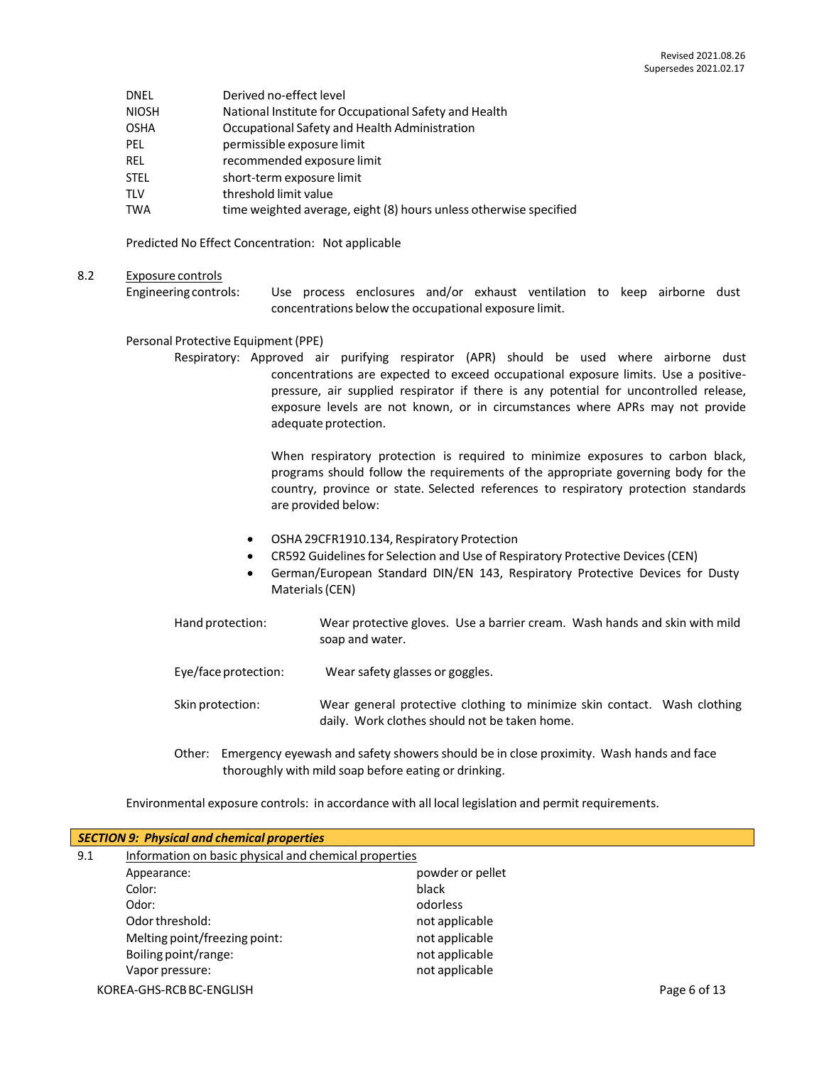| DNEL | Derived no-effect level |
|------|-------------------------|
|      |                         |

- NIOSH National Institute for Occupational Safety and Health
- OSHA Occupational Safety and Health Administration
- PEL permissible exposure limit
- REL recommended exposure limit
- STEL short-term exposure limit
- TLV threshold limit value
- TWA time weighted average, eight (8) hours unless otherwise specified

Predicted No Effect Concentration: Not applicable

#### 8.2 Exposure controls

Engineering controls: Use process enclosures and/or exhaust ventilation to keep airborne dust concentrations below the occupational exposure limit.

#### Personal Protective Equipment (PPE)

Respiratory: Approved air purifying respirator (APR) should be used where airborne dust concentrations are expected to exceed occupational exposure limits. Use a positivepressure, air supplied respirator if there is any potential for uncontrolled release, exposure levels are not known, or in circumstances where APRs may not provide adequate protection.

> When respiratory protection is required to minimize exposures to carbon black, programs should follow the requirements of the appropriate governing body for the country, province or state. Selected references to respiratory protection standards are provided below:

- OSHA 29CFR1910.134, Respiratory Protection
- CR592 Guidelines for Selection and Use of Respiratory Protective Devices (CEN)
- German/European Standard DIN/EN 143, Respiratory Protective Devices for Dusty Materials(CEN)
- Hand protection: Wear protective gloves. Use a barrier cream. Wash hands and skin with mild soap and water.
- Eye/face protection: Wear safety glasses or goggles.
- Skin protection: Wear general protective clothing to minimize skin contact. Wash clothing daily. Work clothes should not be taken home.
- Other: Emergency eyewash and safety showers should be in close proximity. Wash hands and face thoroughly with mild soap before eating or drinking.

Environmental exposure controls: in accordance with all local legislation and permit requirements.

| <b>SECTION 9: Physical and chemical properties</b> |                                                       |                  |              |  |  |  |
|----------------------------------------------------|-------------------------------------------------------|------------------|--------------|--|--|--|
| 9.1                                                | Information on basic physical and chemical properties |                  |              |  |  |  |
|                                                    | Appearance:                                           | powder or pellet |              |  |  |  |
|                                                    | Color:                                                | black            |              |  |  |  |
|                                                    | Odor:                                                 | odorless         |              |  |  |  |
|                                                    | Odor threshold:                                       | not applicable   |              |  |  |  |
|                                                    | Melting point/freezing point:                         | not applicable   |              |  |  |  |
|                                                    | Boiling point/range:                                  | not applicable   |              |  |  |  |
|                                                    | Vapor pressure:                                       | not applicable   |              |  |  |  |
|                                                    | KOREA-GHS-RCB BC-ENGLISH                              |                  | Page 6 of 13 |  |  |  |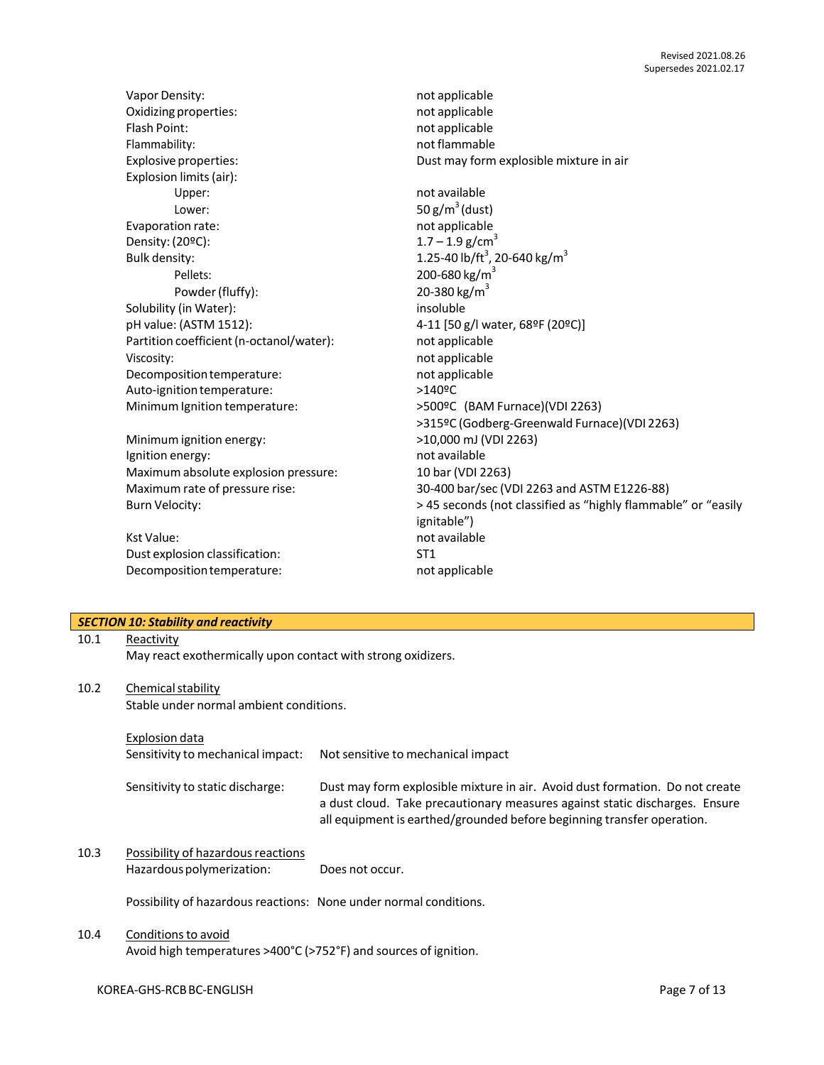|      |                                                               | Supersedes 2021.02.17                                                        |
|------|---------------------------------------------------------------|------------------------------------------------------------------------------|
|      | Vapor Density:                                                | not applicable                                                               |
|      | Oxidizing properties:                                         | not applicable                                                               |
|      | Flash Point:                                                  | not applicable                                                               |
|      | Flammability:                                                 | not flammable                                                                |
|      | <b>Explosive properties:</b>                                  | Dust may form explosible mixture in air                                      |
|      |                                                               |                                                                              |
|      | Explosion limits (air):                                       | not available                                                                |
|      | Upper:                                                        |                                                                              |
|      | Lower:                                                        | 50 $g/m^3$ (dust)                                                            |
|      | Evaporation rate:                                             | not applicable                                                               |
|      | Density: (20ºC):                                              | $1.7 - 1.9$ g/cm <sup>3</sup>                                                |
|      | Bulk density:                                                 | 1.25-40 lb/ft <sup>3</sup> , 20-640 kg/m <sup>3</sup>                        |
|      | Pellets:                                                      | 200-680 kg/m <sup>3</sup>                                                    |
|      | Powder (fluffy):                                              | 20-380 kg/m <sup>3</sup>                                                     |
|      | Solubility (in Water):                                        | insoluble                                                                    |
|      | pH value: (ASTM 1512):                                        | 4-11 [50 g/l water, 68ºF (20ºC)]                                             |
|      | Partition coefficient (n-octanol/water):                      | not applicable                                                               |
|      | Viscosity:                                                    | not applicable                                                               |
|      | Decomposition temperature:                                    | not applicable                                                               |
|      | Auto-ignition temperature:                                    | >140ºC                                                                       |
|      | Minimum Ignition temperature:                                 | >500ºC (BAM Furnace)(VDI 2263)                                               |
|      |                                                               | >315ºC (Godberg-Greenwald Furnace)(VDI 2263)                                 |
|      | Minimum ignition energy:                                      | >10,000 mJ (VDI 2263)                                                        |
|      | Ignition energy:                                              | not available                                                                |
|      | Maximum absolute explosion pressure:                          | 10 bar (VDI 2263)                                                            |
|      | Maximum rate of pressure rise:                                | 30-400 bar/sec (VDI 2263 and ASTM E1226-88)                                  |
|      | <b>Burn Velocity:</b>                                         | > 45 seconds (not classified as "highly flammable" or "easily                |
|      |                                                               | ignitable")                                                                  |
|      | <b>Kst Value:</b>                                             | not available                                                                |
|      | Dust explosion classification:                                | ST <sub>1</sub>                                                              |
|      | Decomposition temperature:                                    | not applicable                                                               |
|      |                                                               |                                                                              |
|      |                                                               |                                                                              |
|      | <b>SECTION 10: Stability and reactivity</b>                   |                                                                              |
| 10.1 | Reactivity                                                    |                                                                              |
|      | May react exothermically upon contact with strong oxidizers.  |                                                                              |
|      |                                                               |                                                                              |
| 10.2 |                                                               |                                                                              |
|      | Chemical stability<br>Stable under normal ambient conditions. |                                                                              |
|      |                                                               |                                                                              |
|      |                                                               |                                                                              |
|      | <b>Explosion data</b>                                         |                                                                              |
|      | Sensitivity to mechanical impact:                             | Not sensitive to mechanical impact                                           |
|      |                                                               |                                                                              |
|      | Sensitivity to static discharge:                              | Dust may form explosible mixture in air. Avoid dust formation. Do not create |
|      |                                                               | a dust cloud. Take precautionary measures against static discharges. Ensure  |
|      |                                                               | all equipment is earthed/grounded before beginning transfer operation.       |
|      |                                                               |                                                                              |
| 10.3 | Possibility of hazardous reactions                            |                                                                              |
|      | Hazardous polymerization:                                     | Does not occur.                                                              |
|      |                                                               |                                                                              |

Possibility of hazardous reactions: None under normal conditions.

## 10.4 Conditions to avoid

Avoid high temperatures >400°C (>752°F) and sources of ignition.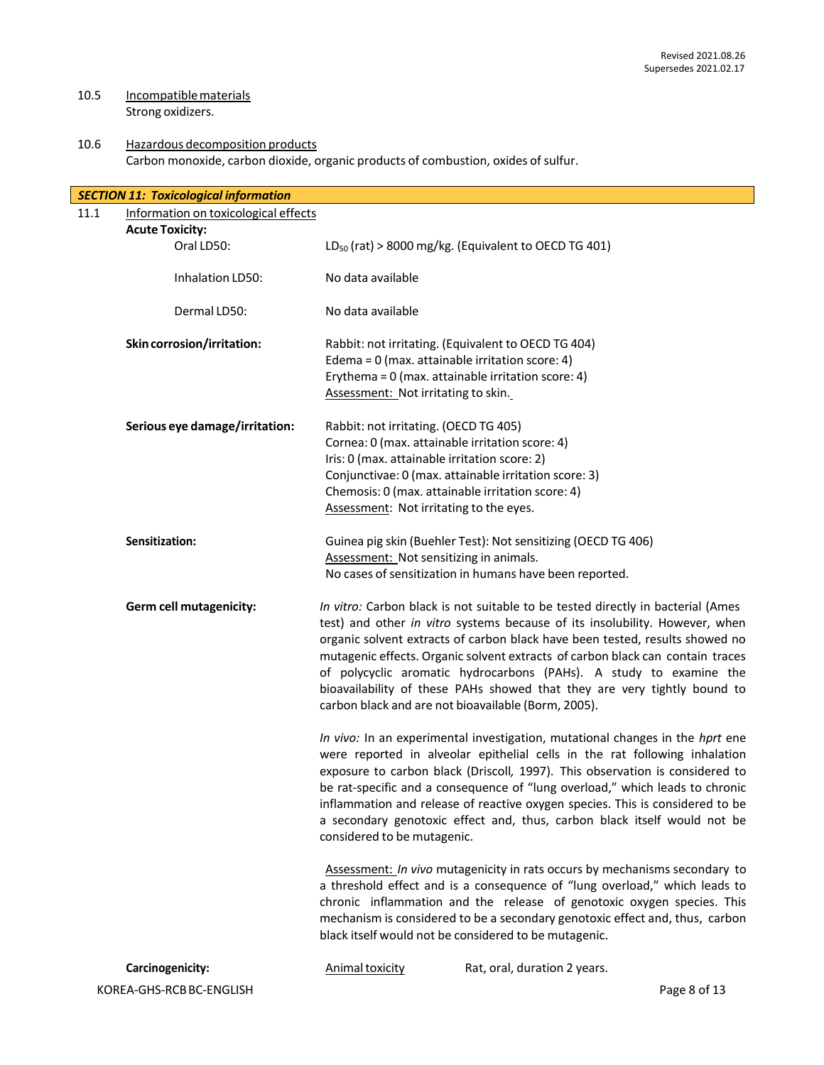## 10.5 Incompatible materials Strong oxidizers.

## 10.6 Hazardous decomposition products Carbon monoxide, carbon dioxide, organic products of combustion, oxides of sulfur.

| <b>SECTION 11: Toxicological information</b> |                                      |                                                                                                                                                                                                                                                                                                                                                                                                                                                                                                                         |                                                                                                                                                                                                                                                                                                                                                                                                                                                                                                                                           |              |  |  |
|----------------------------------------------|--------------------------------------|-------------------------------------------------------------------------------------------------------------------------------------------------------------------------------------------------------------------------------------------------------------------------------------------------------------------------------------------------------------------------------------------------------------------------------------------------------------------------------------------------------------------------|-------------------------------------------------------------------------------------------------------------------------------------------------------------------------------------------------------------------------------------------------------------------------------------------------------------------------------------------------------------------------------------------------------------------------------------------------------------------------------------------------------------------------------------------|--------------|--|--|
| 11.1                                         | Information on toxicological effects |                                                                                                                                                                                                                                                                                                                                                                                                                                                                                                                         |                                                                                                                                                                                                                                                                                                                                                                                                                                                                                                                                           |              |  |  |
| <b>Acute Toxicity:</b>                       |                                      |                                                                                                                                                                                                                                                                                                                                                                                                                                                                                                                         |                                                                                                                                                                                                                                                                                                                                                                                                                                                                                                                                           |              |  |  |
| Oral LD50:                                   |                                      |                                                                                                                                                                                                                                                                                                                                                                                                                                                                                                                         | $LD_{50}$ (rat) > 8000 mg/kg. (Equivalent to OECD TG 401)                                                                                                                                                                                                                                                                                                                                                                                                                                                                                 |              |  |  |
| Inhalation LD50:                             |                                      | No data available                                                                                                                                                                                                                                                                                                                                                                                                                                                                                                       |                                                                                                                                                                                                                                                                                                                                                                                                                                                                                                                                           |              |  |  |
| Dermal LD50:                                 |                                      | No data available                                                                                                                                                                                                                                                                                                                                                                                                                                                                                                       |                                                                                                                                                                                                                                                                                                                                                                                                                                                                                                                                           |              |  |  |
| Skin corrosion/irritation:                   |                                      | Rabbit: not irritating. (Equivalent to OECD TG 404)<br>Edema = 0 (max. attainable irritation score: 4)<br>Erythema = 0 (max. attainable irritation score: 4)<br>Assessment: Not irritating to skin.                                                                                                                                                                                                                                                                                                                     |                                                                                                                                                                                                                                                                                                                                                                                                                                                                                                                                           |              |  |  |
| Serious eye damage/irritation:               |                                      | Rabbit: not irritating. (OECD TG 405)<br>Cornea: 0 (max. attainable irritation score: 4)<br>Iris: 0 (max. attainable irritation score: 2)<br>Conjunctivae: 0 (max. attainable irritation score: 3)<br>Chemosis: 0 (max. attainable irritation score: 4)<br>Assessment: Not irritating to the eyes.                                                                                                                                                                                                                      |                                                                                                                                                                                                                                                                                                                                                                                                                                                                                                                                           |              |  |  |
| Sensitization:                               |                                      | Guinea pig skin (Buehler Test): Not sensitizing (OECD TG 406)<br>Assessment: Not sensitizing in animals.<br>No cases of sensitization in humans have been reported.                                                                                                                                                                                                                                                                                                                                                     |                                                                                                                                                                                                                                                                                                                                                                                                                                                                                                                                           |              |  |  |
| Germ cell mutagenicity:                      |                                      |                                                                                                                                                                                                                                                                                                                                                                                                                                                                                                                         | In vitro: Carbon black is not suitable to be tested directly in bacterial (Ames<br>test) and other in vitro systems because of its insolubility. However, when<br>organic solvent extracts of carbon black have been tested, results showed no<br>mutagenic effects. Organic solvent extracts of carbon black can contain traces<br>of polycyclic aromatic hydrocarbons (PAHs). A study to examine the<br>bioavailability of these PAHs showed that they are very tightly bound to<br>carbon black and are not bioavailable (Borm, 2005). |              |  |  |
|                                              |                                      | In vivo: In an experimental investigation, mutational changes in the hprt ene<br>were reported in alveolar epithelial cells in the rat following inhalation<br>exposure to carbon black (Driscoll, 1997). This observation is considered to<br>be rat-specific and a consequence of "lung overload," which leads to chronic<br>inflammation and release of reactive oxygen species. This is considered to be<br>a secondary genotoxic effect and, thus, carbon black itself would not be<br>considered to be mutagenic. |                                                                                                                                                                                                                                                                                                                                                                                                                                                                                                                                           |              |  |  |
|                                              |                                      |                                                                                                                                                                                                                                                                                                                                                                                                                                                                                                                         | Assessment: In vivo mutagenicity in rats occurs by mechanisms secondary to<br>a threshold effect and is a consequence of "lung overload," which leads to<br>chronic inflammation and the release of genotoxic oxygen species. This<br>mechanism is considered to be a secondary genotoxic effect and, thus, carbon<br>black itself would not be considered to be mutagenic.                                                                                                                                                               |              |  |  |
| Carcinogenicity:                             |                                      | <b>Animal toxicity</b>                                                                                                                                                                                                                                                                                                                                                                                                                                                                                                  | Rat, oral, duration 2 years.                                                                                                                                                                                                                                                                                                                                                                                                                                                                                                              |              |  |  |
| KOREA-GHS-RCB BC-ENGLISH                     |                                      |                                                                                                                                                                                                                                                                                                                                                                                                                                                                                                                         |                                                                                                                                                                                                                                                                                                                                                                                                                                                                                                                                           | Page 8 of 13 |  |  |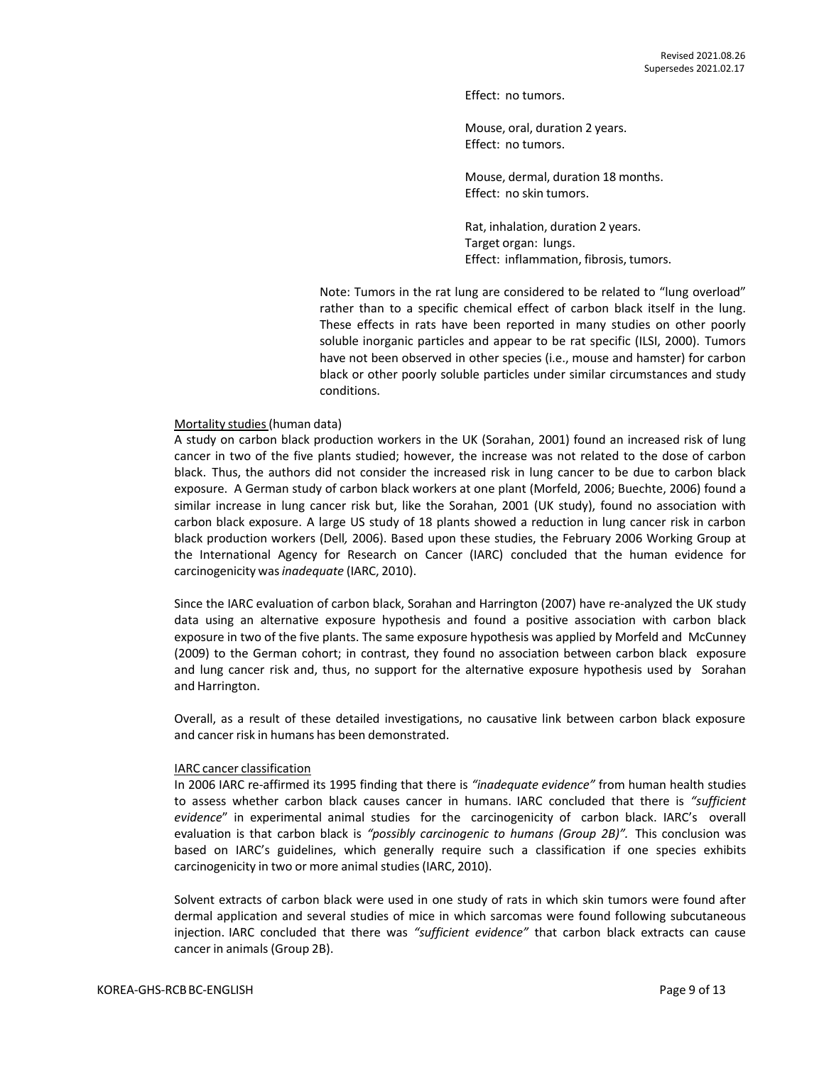Effect: no tumors.

Mouse, oral, duration 2 years. Effect: no tumors.

Mouse, dermal, duration 18 months. Effect: no skin tumors.

Rat, inhalation, duration 2 years. Target organ: lungs. Effect: inflammation, fibrosis, tumors.

Note: Tumors in the rat lung are considered to be related to "lung overload" rather than to a specific chemical effect of carbon black itself in the lung. These effects in rats have been reported in many studies on other poorly soluble inorganic particles and appear to be rat specific (ILSI, 2000). Tumors have not been observed in other species (i.e., mouse and hamster) for carbon black or other poorly soluble particles under similar circumstances and study conditions.

#### Mortality studies(human data)

A study on carbon black production workers in the UK (Sorahan, 2001) found an increased risk of lung cancer in two of the five plants studied; however, the increase was not related to the dose of carbon black. Thus, the authors did not consider the increased risk in lung cancer to be due to carbon black exposure. A German study of carbon black workers at one plant (Morfeld, 2006; Buechte, 2006) found a similar increase in lung cancer risk but, like the Sorahan, 2001 (UK study), found no association with carbon black exposure. A large US study of 18 plants showed a reduction in lung cancer risk in carbon black production workers (Dell*,* 2006). Based upon these studies, the February 2006 Working Group at the International Agency for Research on Cancer (IARC) concluded that the human evidence for carcinogenicity was*inadequate* (IARC, 2010).

Since the IARC evaluation of carbon black, Sorahan and Harrington (2007) have re-analyzed the UK study data using an alternative exposure hypothesis and found a positive association with carbon black exposure in two of the five plants. The same exposure hypothesis was applied by Morfeld and McCunney (2009) to the German cohort; in contrast, they found no association between carbon black exposure and lung cancer risk and, thus, no support for the alternative exposure hypothesis used by Sorahan and Harrington.

Overall, as a result of these detailed investigations, no causative link between carbon black exposure and cancer risk in humans has been demonstrated.

#### IARC cancer classification

In 2006 IARC re-affirmed its 1995 finding that there is *"inadequate evidence"* from human health studies to assess whether carbon black causes cancer in humans. IARC concluded that there is *"sufficient evidence*" in experimental animal studies for the carcinogenicity of carbon black. IARC's overall evaluation is that carbon black is *"possibly carcinogenic to humans (Group 2B)".* This conclusion was based on IARC's guidelines, which generally require such a classification if one species exhibits carcinogenicity in two or more animal studies (IARC, 2010).

Solvent extracts of carbon black were used in one study of rats in which skin tumors were found after dermal application and several studies of mice in which sarcomas were found following subcutaneous injection. IARC concluded that there was *"sufficient evidence"* that carbon black extracts can cause cancer in animals(Group 2B).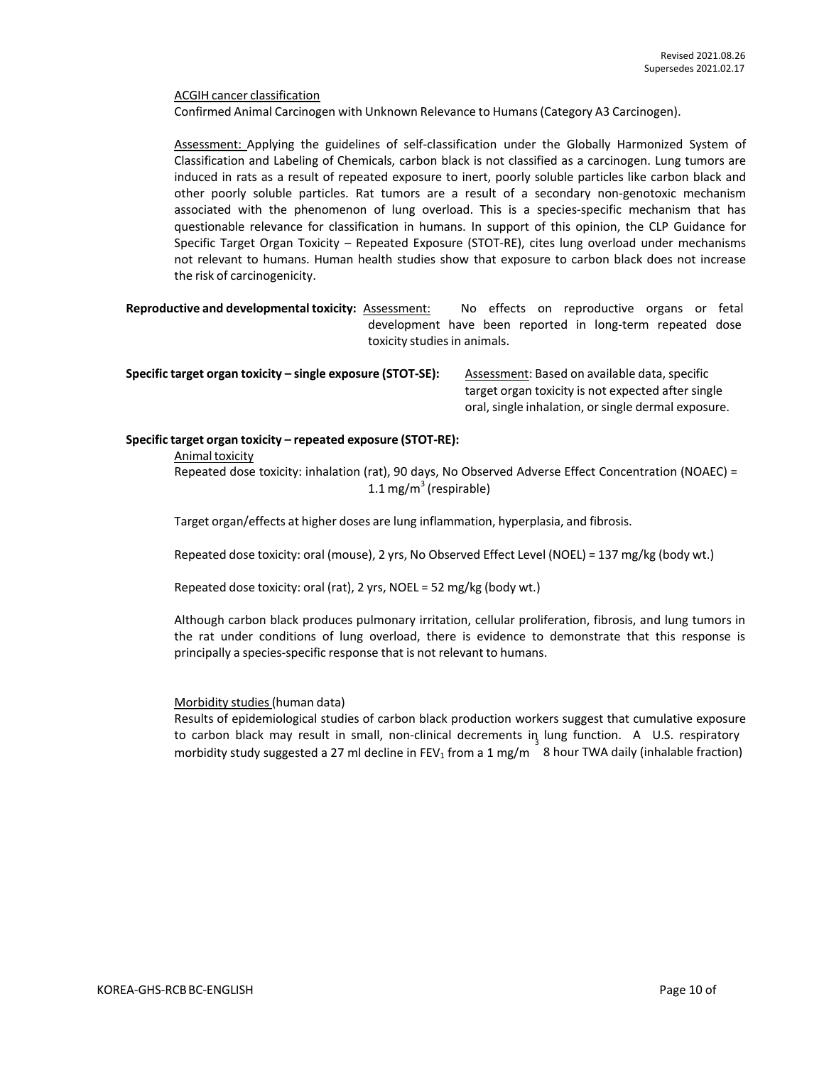ACGIH cancer classification

Confirmed Animal Carcinogen with Unknown Relevance to Humans(Category A3 Carcinogen).

Assessment: Applying the guidelines of self-classification under the Globally Harmonized System of Classification and Labeling of Chemicals, carbon black is not classified as a carcinogen. Lung tumors are induced in rats as a result of repeated exposure to inert, poorly soluble particles like carbon black and other poorly soluble particles. Rat tumors are a result of a secondary non-genotoxic mechanism associated with the phenomenon of lung overload. This is a species-specific mechanism that has questionable relevance for classification in humans. In support of this opinion, the CLP Guidance for Specific Target Organ Toxicity – Repeated Exposure (STOT-RE), cites lung overload under mechanisms not relevant to humans. Human health studies show that exposure to carbon black does not increase the risk of carcinogenicity.

**Reproductive and developmental toxicity:** Assessment: No effects on reproductive organs or fetal development have been reported in long-term repeated dose toxicity studies in animals.

**Specific target organ toxicity** – single exposure (STOT-SE): Assessment: Based on available data, specific

target organ toxicity is not expected after single oral, single inhalation, or single dermal exposure.

#### **Specific target organ toxicity – repeated exposure (STOT-RE):**

Animal toxicity

Repeated dose toxicity: inhalation (rat), 90 days, No Observed Adverse Effect Concentration (NOAEC) = 1.1 mg/m $3$  (respirable)

Target organ/effects at higher doses are lung inflammation, hyperplasia, and fibrosis.

Repeated dose toxicity: oral (mouse), 2 yrs, No Observed Effect Level (NOEL) = 137 mg/kg (body wt.)

Repeated dose toxicity: oral (rat), 2 yrs, NOEL = 52 mg/kg (body wt.)

Although carbon black produces pulmonary irritation, cellular proliferation, fibrosis, and lung tumors in the rat under conditions of lung overload, there is evidence to demonstrate that this response is principally a species-specific response that is not relevant to humans.

#### Morbidity studies(human data)

Results of epidemiological studies of carbon black production workers suggest that cumulative exposure to carbon black may result in small, non-clinical decrements in lung function. A U.S. respiratory morbidity study suggested a 27 ml decline in FEV<sub>1</sub> from a 1 mg/m  $8$  hour TWA daily (inhalable fraction)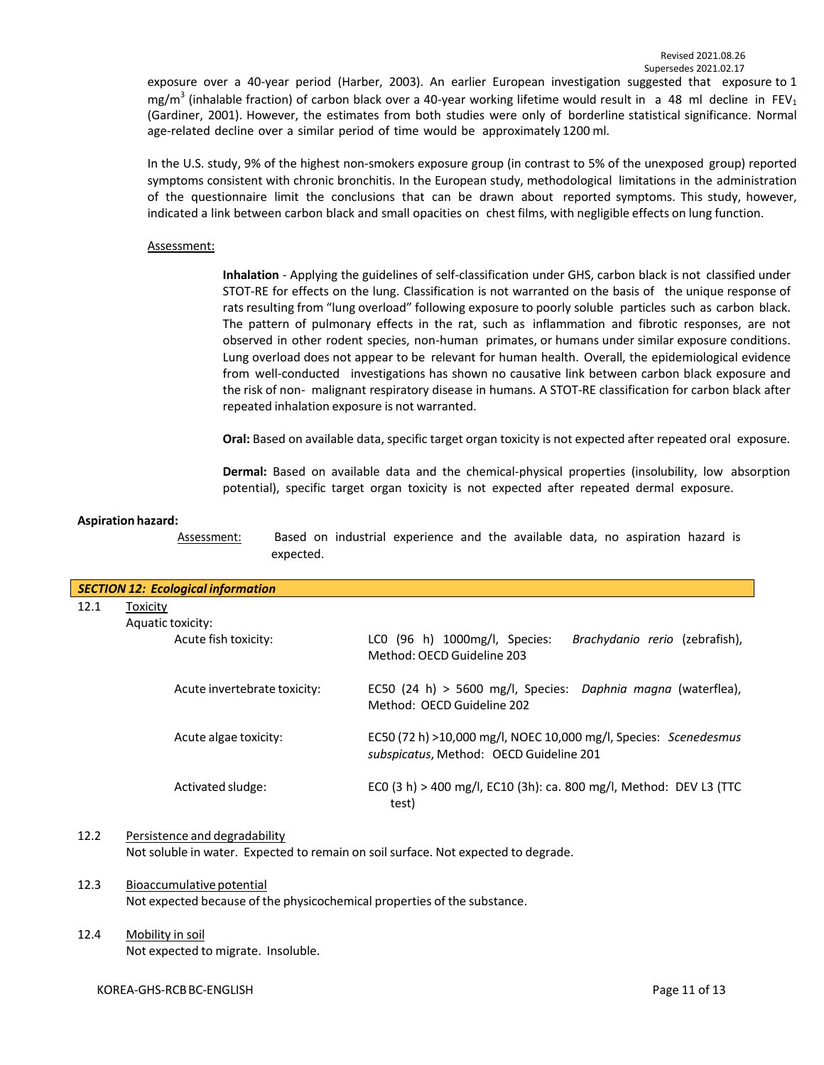exposure over a 40-year period (Harber, 2003). An earlier European investigation suggested that exposure to 1 mg/m<sup>3</sup> (inhalable fraction) of carbon black over a 40-year working lifetime would result in a 48 ml decline in FEV<sub>1</sub> (Gardiner, 2001). However, the estimates from both studies were only of borderline statistical significance. Normal age-related decline over a similar period of time would be approximately 1200 ml.

In the U.S. study, 9% of the highest non-smokers exposure group (in contrast to 5% of the unexposed group) reported symptoms consistent with chronic bronchitis. In the European study, methodological limitations in the administration of the questionnaire limit the conclusions that can be drawn about reported symptoms. This study, however, indicated a link between carbon black and small opacities on chest films, with negligible effects on lung function.

#### Assessment:

**Inhalation** - Applying the guidelines of self-classification under GHS, carbon black is not classified under STOT-RE for effects on the lung. Classification is not warranted on the basis of the unique response of rats resulting from "lung overload" following exposure to poorly soluble particles such as carbon black. The pattern of pulmonary effects in the rat, such as inflammation and fibrotic responses, are not observed in other rodent species, non-human primates, or humans under similar exposure conditions. Lung overload does not appear to be relevant for human health. Overall, the epidemiological evidence from well-conducted investigations has shown no causative link between carbon black exposure and the risk of non- malignant respiratory disease in humans. A STOT-RE classification for carbon black after repeated inhalation exposure is not warranted.

**Oral:** Based on available data, specific target organ toxicity is not expected after repeated oral exposure.

**Dermal:** Based on available data and the chemical-physical properties (insolubility, low absorption potential), specific target organ toxicity is not expected after repeated dermal exposure.

#### **Aspiration hazard:**

Assessment: Based on industrial experience and the available data, no aspiration hazard is expected.

| <b>SECTION 12: Ecological information</b>        |                                                                                                             |  |  |  |  |
|--------------------------------------------------|-------------------------------------------------------------------------------------------------------------|--|--|--|--|
| 12.1<br>Toxicity                                 |                                                                                                             |  |  |  |  |
| Aquatic toxicity:                                |                                                                                                             |  |  |  |  |
| Acute fish toxicity:                             | LCO (96 h) 1000mg/l, Species:<br>Brachydanio rerio (zebrafish),<br>Method: OECD Guideline 203               |  |  |  |  |
| Acute invertebrate toxicity:                     | EC50 (24 h) > 5600 mg/l, Species: Daphnia magna (waterflea),<br>Method: OECD Guideline 202                  |  |  |  |  |
| Acute algae toxicity:                            | EC50 (72 h) >10,000 mg/l, NOEC 10,000 mg/l, Species: Scenedesmus<br>subspicatus, Method: OECD Guideline 201 |  |  |  |  |
| Activated sludge:                                | ECO (3 h) > 400 mg/l, EC10 (3h): ca. 800 mg/l, Method: DEV L3 (TTC<br>test)                                 |  |  |  |  |
| Desetekara eta era al-al-era al-al-Mko<br>$\sim$ |                                                                                                             |  |  |  |  |

## 12.2 Persistence and degradability

Not soluble in water. Expected to remain on soil surface. Not expected to degrade.

#### 12.3 Bioaccumulative potential Not expected because of the physicochemical properties of the substance.

## 12.4 Mobility in soil

Not expected to migrate. Insoluble.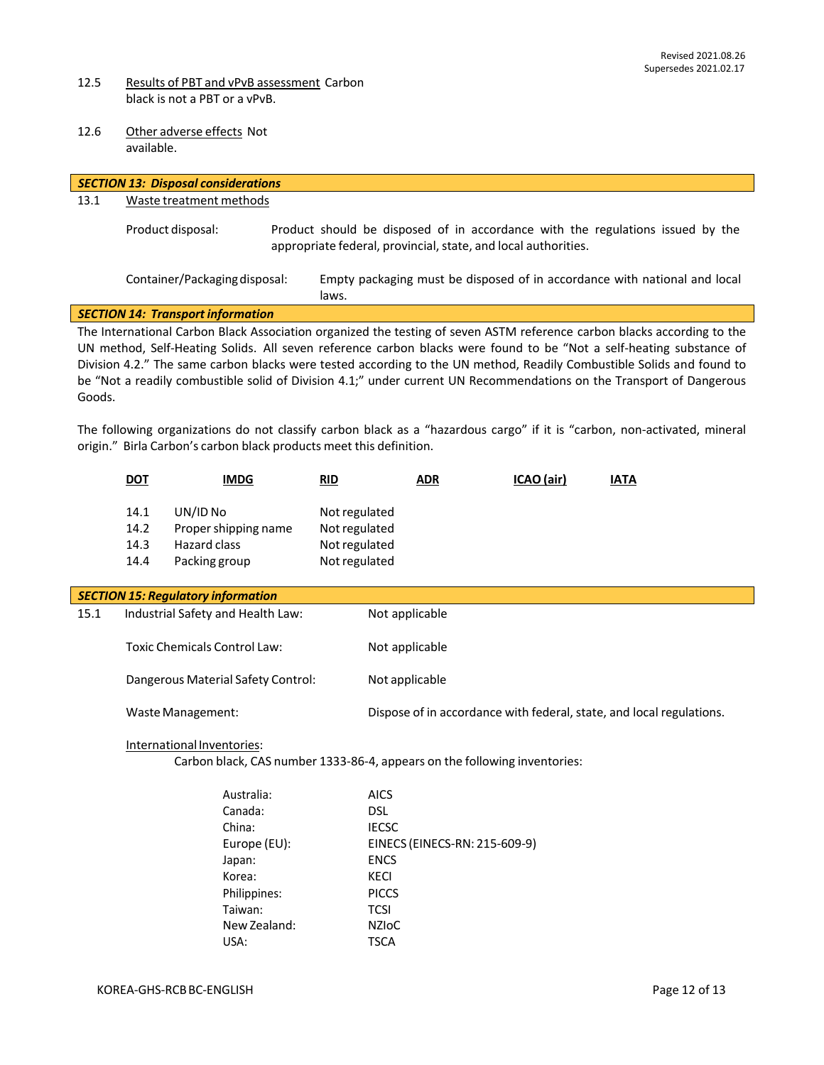- 12.5 Results of PBT and vPvB assessment Carbon black is not a PBT or a vPvB.
- 12.6 Other adverse effects Not available.

|                                                                                                                                                                                                                                                                                                                                                                                                                                                                                                                                                                                                                                                                                                              |                                     | <b>SECTION 13: Disposal considerations</b>                               |  |                                                                  |                |                                                                           |                                                                                |
|--------------------------------------------------------------------------------------------------------------------------------------------------------------------------------------------------------------------------------------------------------------------------------------------------------------------------------------------------------------------------------------------------------------------------------------------------------------------------------------------------------------------------------------------------------------------------------------------------------------------------------------------------------------------------------------------------------------|-------------------------------------|--------------------------------------------------------------------------|--|------------------------------------------------------------------|----------------|---------------------------------------------------------------------------|--------------------------------------------------------------------------------|
| 13.1                                                                                                                                                                                                                                                                                                                                                                                                                                                                                                                                                                                                                                                                                                         |                                     | Waste treatment methods                                                  |  |                                                                  |                |                                                                           |                                                                                |
|                                                                                                                                                                                                                                                                                                                                                                                                                                                                                                                                                                                                                                                                                                              |                                     | Product disposal:                                                        |  |                                                                  |                | appropriate federal, provincial, state, and local authorities.            | Product should be disposed of in accordance with the regulations issued by the |
|                                                                                                                                                                                                                                                                                                                                                                                                                                                                                                                                                                                                                                                                                                              |                                     | Container/Packaging disposal:                                            |  | laws.                                                            |                |                                                                           | Empty packaging must be disposed of in accordance with national and local      |
|                                                                                                                                                                                                                                                                                                                                                                                                                                                                                                                                                                                                                                                                                                              |                                     | <b>SECTION 14: Transport information</b>                                 |  |                                                                  |                |                                                                           |                                                                                |
| The International Carbon Black Association organized the testing of seven ASTM reference carbon blacks according to the<br>UN method, Self-Heating Solids. All seven reference carbon blacks were found to be "Not a self-heating substance of<br>Division 4.2." The same carbon blacks were tested according to the UN method, Readily Combustible Solids and found to<br>be "Not a readily combustible solid of Division 4.1;" under current UN Recommendations on the Transport of Dangerous<br>Goods.<br>The following organizations do not classify carbon black as a "hazardous cargo" if it is "carbon, non-activated, mineral<br>origin." Birla Carbon's carbon black products meet this definition. |                                     |                                                                          |  |                                                                  |                |                                                                           |                                                                                |
|                                                                                                                                                                                                                                                                                                                                                                                                                                                                                                                                                                                                                                                                                                              | <b>DOT</b>                          | <b>IMDG</b>                                                              |  | <b>RID</b>                                                       | <b>ADR</b>     | ICAO (air)                                                                | <b>IATA</b>                                                                    |
|                                                                                                                                                                                                                                                                                                                                                                                                                                                                                                                                                                                                                                                                                                              | 14.1<br>14.2<br>14.3<br>14.4        | UN/ID No<br>Proper shipping name<br><b>Hazard class</b><br>Packing group |  | Not regulated<br>Not regulated<br>Not regulated<br>Not regulated |                |                                                                           |                                                                                |
|                                                                                                                                                                                                                                                                                                                                                                                                                                                                                                                                                                                                                                                                                                              |                                     | <b>SECTION 15: Regulatory information</b>                                |  |                                                                  |                |                                                                           |                                                                                |
| 15.1                                                                                                                                                                                                                                                                                                                                                                                                                                                                                                                                                                                                                                                                                                         |                                     | Industrial Safety and Health Law:                                        |  |                                                                  | Not applicable |                                                                           |                                                                                |
|                                                                                                                                                                                                                                                                                                                                                                                                                                                                                                                                                                                                                                                                                                              | <b>Toxic Chemicals Control Law:</b> |                                                                          |  |                                                                  | Not applicable |                                                                           |                                                                                |
|                                                                                                                                                                                                                                                                                                                                                                                                                                                                                                                                                                                                                                                                                                              | Dangerous Material Safety Control:  |                                                                          |  | Not applicable                                                   |                |                                                                           |                                                                                |
|                                                                                                                                                                                                                                                                                                                                                                                                                                                                                                                                                                                                                                                                                                              | Waste Management:                   |                                                                          |  |                                                                  |                |                                                                           | Dispose of in accordance with federal, state, and local regulations.           |
|                                                                                                                                                                                                                                                                                                                                                                                                                                                                                                                                                                                                                                                                                                              |                                     | International Inventories:                                               |  |                                                                  |                | Carbon black, CAS number 1333-86-4, appears on the following inventories: |                                                                                |
|                                                                                                                                                                                                                                                                                                                                                                                                                                                                                                                                                                                                                                                                                                              |                                     | Australia:<br>Canada:                                                    |  | <b>AICS</b><br>ואח                                               |                |                                                                           |                                                                                |

| Ausu ana.    | <b>AILJ</b>                   |
|--------------|-------------------------------|
| Canada:      | DSL                           |
| China:       | <b>IECSC</b>                  |
| Europe (EU): | EINECS (EINECS-RN: 215-609-9) |
| Japan:       | <b>ENCS</b>                   |
| Korea:       | KECI                          |
| Philippines: | <b>PICCS</b>                  |
| Taiwan:      | TCSI                          |
| New Zealand: | <b>NZIOC</b>                  |
| USA:         | <b>TSCA</b>                   |
|              |                               |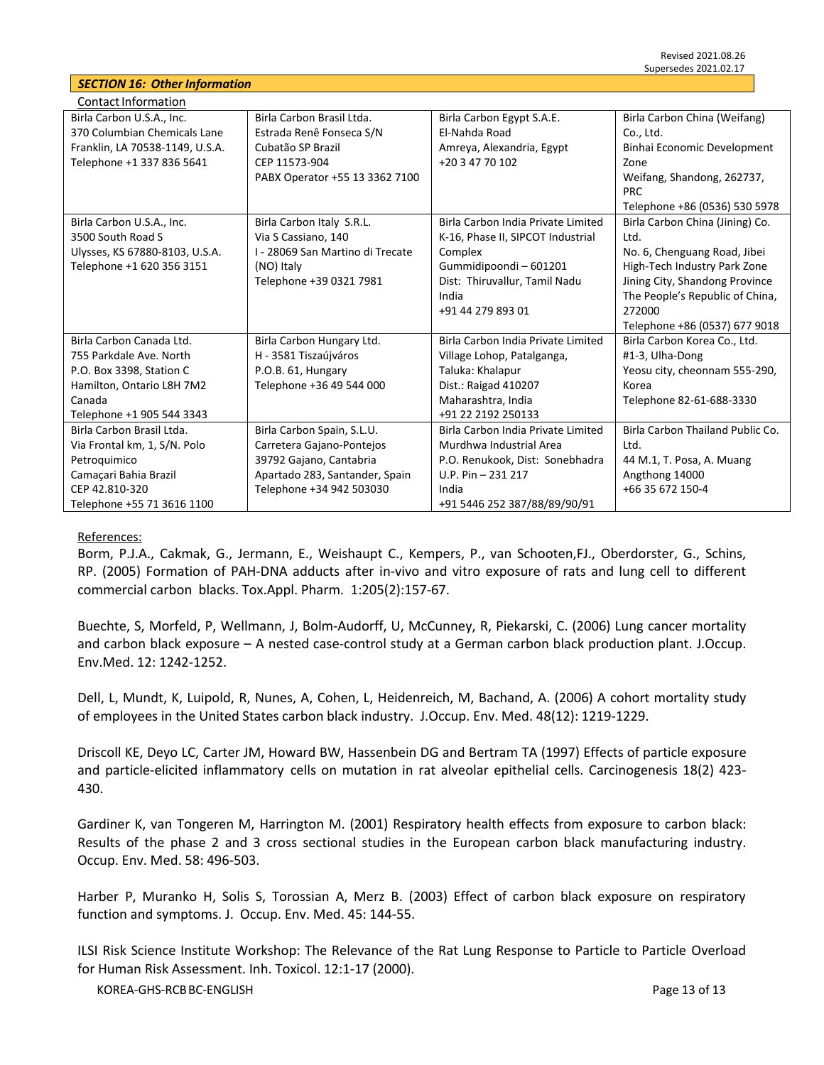## *SECTION 16: Other Information*

| <b>Contact Information</b>      |                                  |                                    |                                  |
|---------------------------------|----------------------------------|------------------------------------|----------------------------------|
| Birla Carbon U.S.A., Inc.       | Birla Carbon Brasil Ltda.        | Birla Carbon Egypt S.A.E.          | Birla Carbon China (Weifang)     |
| 370 Columbian Chemicals Lane    | Estrada Renê Fonseca S/N         | El-Nahda Road                      | Co., Ltd.                        |
| Franklin, LA 70538-1149, U.S.A. | Cubatão SP Brazil                | Amreya, Alexandria, Egypt          | Binhai Economic Development      |
| Telephone +1 337 836 5641       | CEP 11573-904                    | +20 3 47 70 102                    | Zone                             |
|                                 | PABX Operator +55 13 3362 7100   |                                    | Weifang, Shandong, 262737,       |
|                                 |                                  |                                    | <b>PRC</b>                       |
|                                 |                                  |                                    | Telephone +86 (0536) 530 5978    |
| Birla Carbon U.S.A., Inc.       | Birla Carbon Italy S.R.L.        | Birla Carbon India Private Limited | Birla Carbon China (Jining) Co.  |
| 3500 South Road S               | Via S Cassiano, 140              | K-16, Phase II, SIPCOT Industrial  | Ltd.                             |
| Ulysses, KS 67880-8103, U.S.A.  | I - 28069 San Martino di Trecate | Complex                            | No. 6, Chenguang Road, Jibei     |
| Telephone +1 620 356 3151       | (NO) Italy                       | Gummidipoondi - 601201             | High-Tech Industry Park Zone     |
|                                 | Telephone +39 0321 7981          | Dist: Thiruvallur, Tamil Nadu      | Jining City, Shandong Province   |
|                                 |                                  | India                              | The People's Republic of China,  |
|                                 |                                  | +91 44 279 893 01                  | 272000                           |
|                                 |                                  |                                    | Telephone +86 (0537) 677 9018    |
| Birla Carbon Canada Ltd.        | Birla Carbon Hungary Ltd.        | Birla Carbon India Private Limited | Birla Carbon Korea Co., Ltd.     |
| 755 Parkdale Ave. North         | H - 3581 Tiszaújváros            | Village Lohop, Patalganga,         | #1-3, Ulha-Dong                  |
| P.O. Box 3398, Station C        | P.O.B. 61, Hungary               | Taluka: Khalapur                   | Yeosu city, cheonnam 555-290,    |
| Hamilton, Ontario L8H 7M2       | Telephone +36 49 544 000         | Dist.: Raigad 410207               | Korea                            |
| Canada                          |                                  | Maharashtra, India                 | Telephone 82-61-688-3330         |
| Telephone +1 905 544 3343       |                                  | +91 22 2192 250133                 |                                  |
| Birla Carbon Brasil Ltda.       | Birla Carbon Spain, S.L.U.       | Birla Carbon India Private Limited | Birla Carbon Thailand Public Co. |
| Via Frontal km, 1, S/N. Polo    | Carretera Gajano-Pontejos        | Murdhwa Industrial Area            | Ltd.                             |
| Petroquimico                    | 39792 Gajano, Cantabria          | P.O. Renukook, Dist: Sonebhadra    | 44 M.1, T. Posa, A. Muang        |
| Camaçari Bahia Brazil           | Apartado 283, Santander, Spain   | $U.P. Pin - 231217$                | Angthong 14000                   |
| CEP 42.810-320                  | Telephone +34 942 503030         | India                              | +66 35 672 150-4                 |
| Telephone +55 71 3616 1100      |                                  | +91 5446 252 387/88/89/90/91       |                                  |

#### References:

Borm, P.J.A., Cakmak, G., Jermann, E., Weishaupt C., Kempers, P., van Schooten,FJ., Oberdorster, G., Schins, RP. (2005) Formation of PAH-DNA adducts after in-vivo and vitro exposure of rats and lung cell to different commercial carbon blacks. Tox.Appl. Pharm. 1:205(2):157-67.

Buechte, S, Morfeld, P, Wellmann, J, Bolm-Audorff, U, McCunney, R, Piekarski, C. (2006) Lung cancer mortality and carbon black exposure – A nested case-control study at a German carbon black production plant. J.Occup. Env.Med. 12: 1242-1252.

Dell, L, Mundt, K, Luipold, R, Nunes, A, Cohen, L, Heidenreich, M, Bachand, A. (2006) A cohort mortality study of employees in the United States carbon black industry. J.Occup. Env. Med. 48(12): 1219-1229.

Driscoll KE, Deyo LC, Carter JM, Howard BW, Hassenbein DG and Bertram TA (1997) Effects of particle exposure and particle-elicited inflammatory cells on mutation in rat alveolar epithelial cells. Carcinogenesis 18(2) 423- 430.

Gardiner K, van Tongeren M, Harrington M. (2001) Respiratory health effects from exposure to carbon black: Results of the phase 2 and 3 cross sectional studies in the European carbon black manufacturing industry. Occup. Env. Med. 58: 496-503.

Harber P, Muranko H, Solis S, Torossian A, Merz B. (2003) Effect of carbon black exposure on respiratory function and symptoms. J. Occup. Env. Med. 45: 144-55.

ILSI Risk Science Institute Workshop: The Relevance of the Rat Lung Response to Particle to Particle Overload for Human Risk Assessment. Inh. Toxicol. 12:1-17 (2000).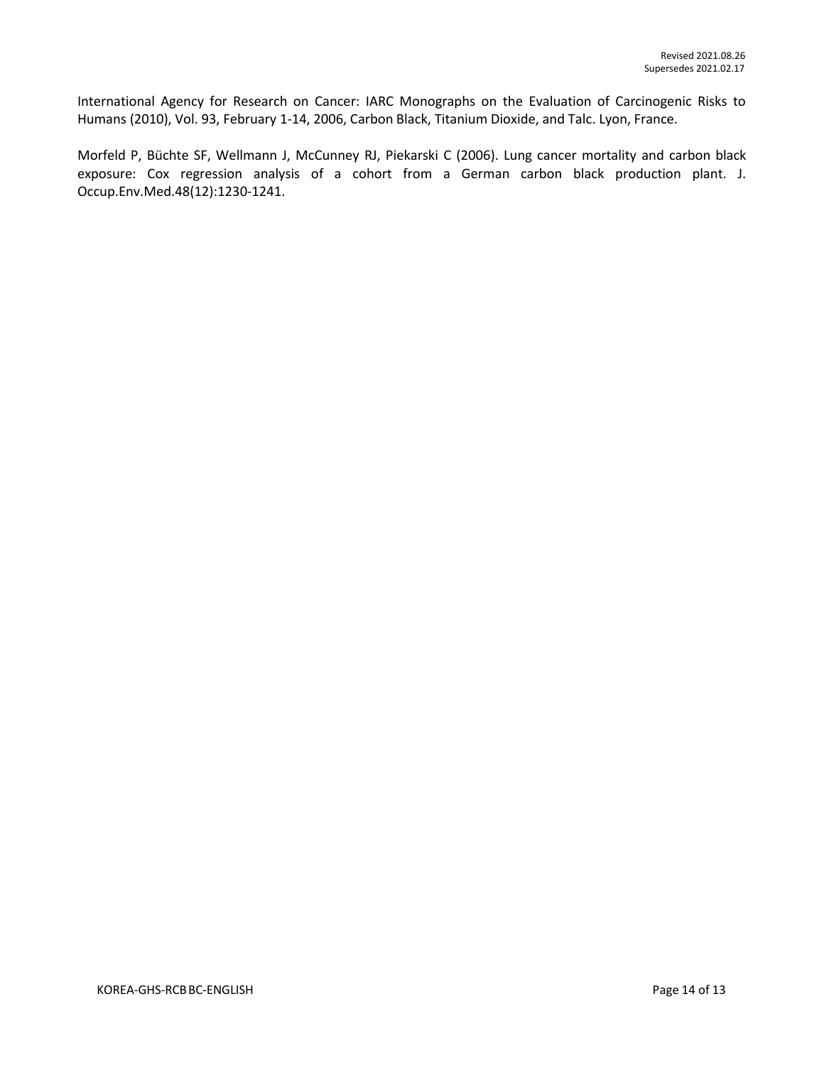International Agency for Research on Cancer: IARC Monographs on the Evaluation of Carcinogenic Risks to Humans (2010), Vol. 93, February 1-14, 2006, Carbon Black, Titanium Dioxide, and Talc. Lyon, France.

Morfeld P, Büchte SF, Wellmann J, McCunney RJ, Piekarski C (2006). Lung cancer mortality and carbon black exposure: Cox regression analysis of a cohort from a German carbon black production plant. J. Occup.Env.Med.48(12):1230-1241.